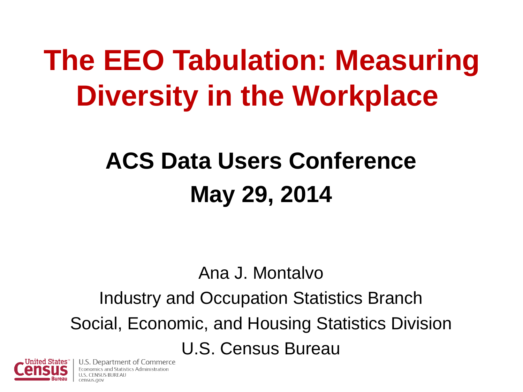## **The EEO Tabulation: Measuring Diversity in the Workplace**

#### **ACS Data Users Conference May 29, 2014**

Ana J. Montalvo Industry and Occupation Statistics Branch Social, Economic, and Housing Statistics Division U.S. Census Bureau



U.S. Department of Commerce tatistics Administration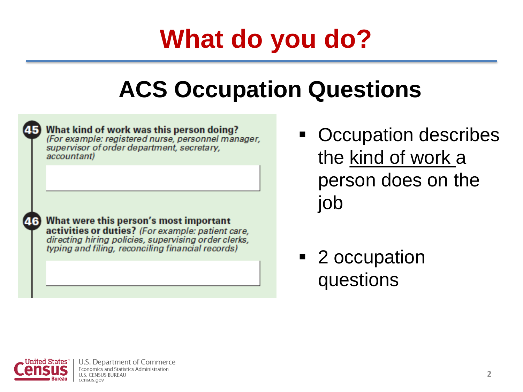### **What do you do?**

#### **ACS Occupation Questions**



accountant)

What kind of work was this person doing? (For example: registered nurse, personnel manager, supervisor of order department, secretary,



46 What were this person's most important activities or duties? (For example: patient care, directing hiring policies, supervising order clerks, typing and filing, reconciling financial records)

- Occupation describes the kind of work a person does on the job
- 2 occupation questions

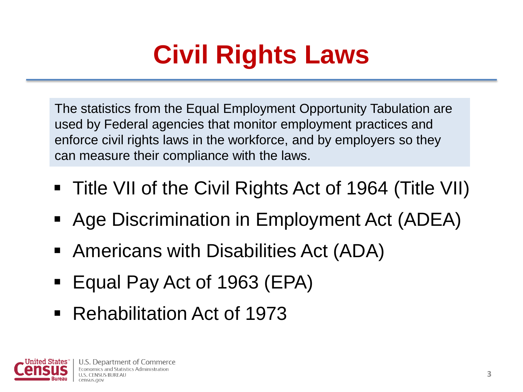### **Civil Rights Laws**

The statistics from the Equal Employment Opportunity Tabulation are used by Federal agencies that monitor employment practices and enforce civil rights laws in the workforce, and by employers so they can measure their compliance with the laws.

- Title VII of the Civil Rights Act of 1964 (Title VII)
- Age Discrimination in Employment Act (ADEA)
- Americans with Disabilities Act (ADA)
- Equal Pay Act of 1963 (EPA)
- Rehabilitation Act of 1973

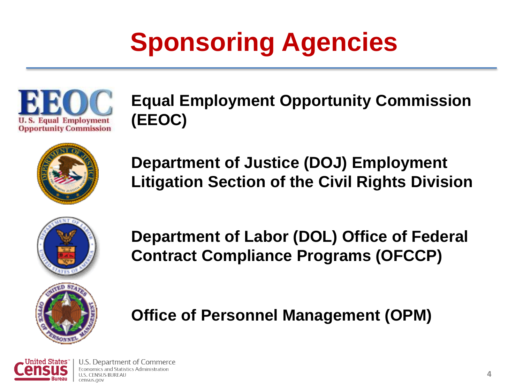### **Sponsoring Agencies**



**Equal Employment Opportunity Commission (EEOC)**



**Department of Justice (DOJ) Employment Litigation Section of the Civil Rights Division**



**Department of Labor (DOL) Office of Federal Contract Compliance Programs (OFCCP)**

#### **Office of Personnel Management (OPM)**

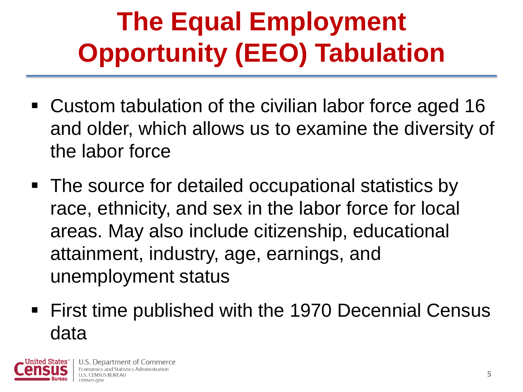## **The Equal Employment Opportunity (EEO) Tabulation**

- Custom tabulation of the civilian labor force aged 16 and older, which allows us to examine the diversity of the labor force
- The source for detailed occupational statistics by race, ethnicity, and sex in the labor force for local areas. May also include citizenship, educational attainment, industry, age, earnings, and unemployment status
- **First time published with the 1970 Decennial Census** data

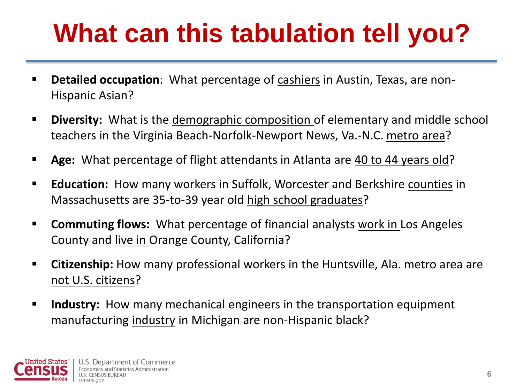### **What can this tabulation tell you?**

- **Detailed occupation**: What percentage of cashiers in Austin, Texas, are non-Hispanic Asian?
- **Diversity:** What is the demographic composition of elementary and middle school teachers in the Virginia Beach-Norfolk-Newport News, Va.-N.C. metro area?
- **Age:** What percentage of flight attendants in Atlanta are 40 to 44 years old?
- **Education:** How many workers in Suffolk, Worcester and Berkshire counties in Massachusetts are 35-to-39 year old high school graduates?
- **Commuting flows:** What percentage of financial analysts work in Los Angeles County and live in Orange County, California?
- **Citizenship:** How many professional workers in the Huntsville, Ala. metro area are not U.S. citizens?
- **III Industry:** How many mechanical engineers in the transportation equipment manufacturing industry in Michigan are non-Hispanic black?

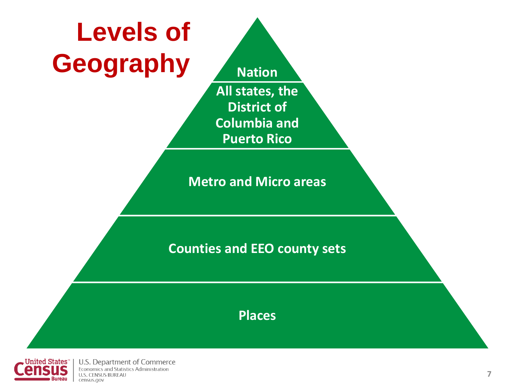



U.S. Department of Commerce Economics and Statistics Administration **U.S. CENSUS BUREAU** census.gov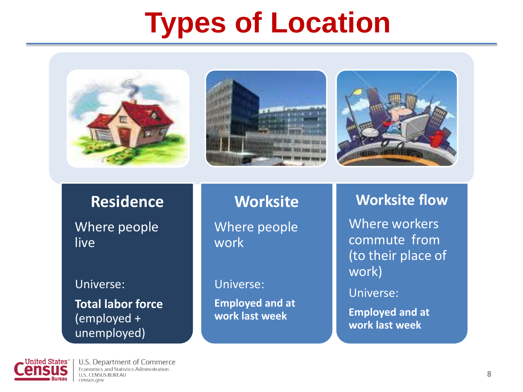### **Types of Location**







#### **Residence**

Where people live

#### Universe:

**Total labor force**  (employed + unemployed)

**Worksite** Where people work

Universe:

**Employed and at work last week**

#### **Worksite flow**

Where workers commute from (to their place of work)

Universe:

**Employed and at work last week**

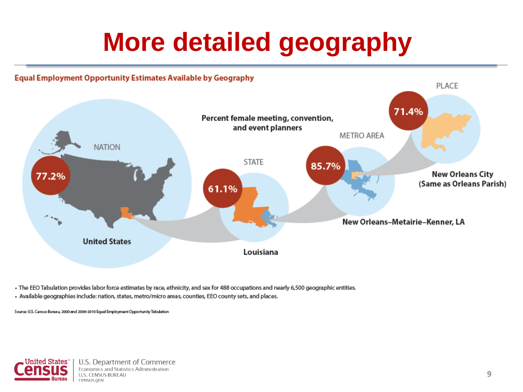#### **More detailed geography**

#### **Equal Employment Opportunity Estimates Available by Geography**



. The EEO Tabulation provides labor force estimates by race, ethnicity, and sex for 488 occupations and nearly 6,500 geographic entities.

· Available geographies include: nation, states, metro/micro areas, counties, EEO county sets, and places.

Source: U.S. Census Bureau, 2000 and 2006-2010 Equal Employment Opportunity Tabulation



U.S. Department of Commerce Economics and Statistics Administration **U.S. CENSUS BUREAU** census.gov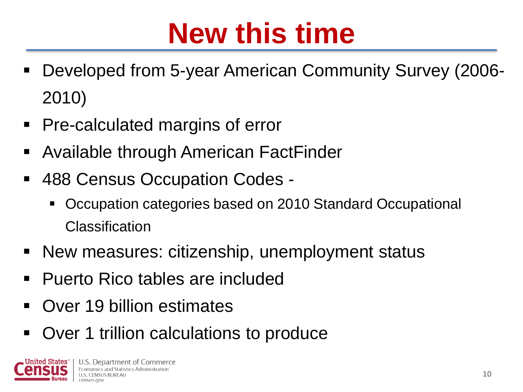## **New this time**

- Developed from 5-year American Community Survey (2006- 2010)
- **Pre-calculated margins of error**
- Available through American FactFinder
- 488 Census Occupation Codes
	- Occupation categories based on 2010 Standard Occupational Classification
- **New measures: citizenship, unemployment status**
- Puerto Rico tables are included
- **Over 19 billion estimates**
- Over 1 trillion calculations to produce

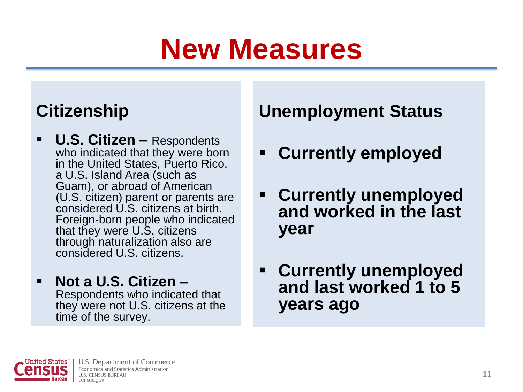## **New Measures**

#### **Citizenship**

- **U.S. Citizen –** Respondents who indicated that they were born in the United States, Puerto Rico, a U.S. Island Area (such as Guam), or abroad of American (U.S. citizen) parent or parents are considered U.S. citizens at birth. Foreign-born people who indicated that they were U.S. citizens through naturalization also are considered U.S. citizens.
- **Not a U.S. Citizen –** Respondents who indicated that they were not U.S. citizens at the time of the survey.

#### **Unemployment Status**

- **Currently employed**
- **Currently unemployed and worked in the last year**
- **Currently unemployed and last worked 1 to 5 years ago**

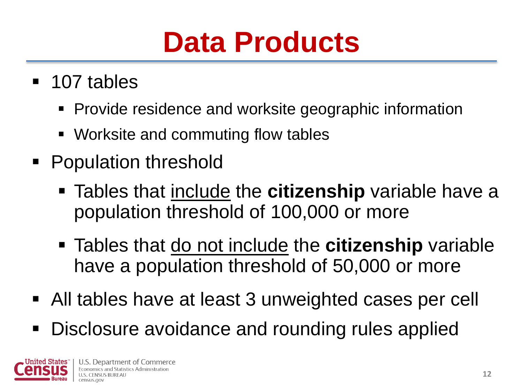## **Data Products**

- 107 tables
	- Provide residence and worksite geographic information
	- Worksite and commuting flow tables
- Population threshold
	- Tables that include the **citizenship** variable have a population threshold of 100,000 or more
	- Tables that do not include the **citizenship** variable have a population threshold of 50,000 or more
- All tables have at least 3 unweighted cases per cell
- Disclosure avoidance and rounding rules applied

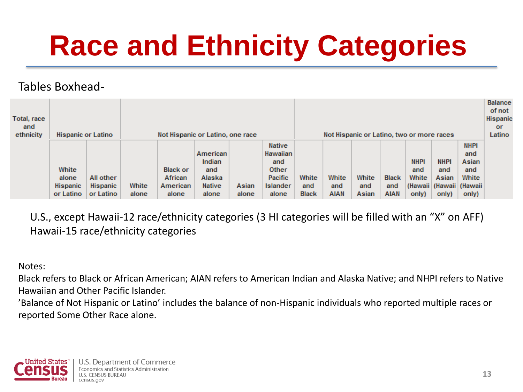## **Race and Ethnicity Categories**

#### Tables Boxhead-

| Total, race<br>and<br>ethnicity | <b>Hispanic or Latino</b>                      |                                    | Not Hispanic or Latino, one race |                                                 |                                                               |                |                                                                                         | Not Hispanic or Latino, two or more races |                             |                       |                                    |                                      |                                                                     |                                                      | <b>Balance</b><br>of not<br>Hispanio<br><b>or</b><br>Latino |
|---------------------------------|------------------------------------------------|------------------------------------|----------------------------------|-------------------------------------------------|---------------------------------------------------------------|----------------|-----------------------------------------------------------------------------------------|-------------------------------------------|-----------------------------|-----------------------|------------------------------------|--------------------------------------|---------------------------------------------------------------------|------------------------------------------------------|-------------------------------------------------------------|
|                                 | White<br>alone<br><b>Hispanic</b><br>or Latino | All other<br>Hispanic<br>or Latino | White<br>alone                   | <b>Black or</b><br>African<br>American<br>alone | American<br>Indian<br>and<br>Alaska<br><b>Native</b><br>alone | Asian<br>alone | <b>Native</b><br>Hawaiian<br>and<br><b>Other</b><br><b>Pacific</b><br>Islander<br>alone | White<br>and<br><b>Black</b>              | White<br>and<br><b>AIAN</b> | White<br>and<br>Asian | <b>Black</b><br>and<br><b>AIAN</b> | <b>NHPI</b><br>and<br>White<br>only) | <b>NHPI</b><br>and<br>Asian<br>(Hawaii   (Hawaii   (Hawaii<br>only) | <b>NHPI</b><br>and<br>Asian<br>and<br>White<br>only) |                                                             |

U.S., except Hawaii-12 race/ethnicity categories (3 HI categories will be filled with an "X" on AFF) Hawaii-15 race/ethnicity categories

Notes:

Black refers to Black or African American; AIAN refers to American Indian and Alaska Native; and NHPI refers to Native Hawaiian and Other Pacific Islander.

'Balance of Not Hispanic or Latino' includes the balance of non-Hispanic individuals who reported multiple races or reported Some Other Race alone.

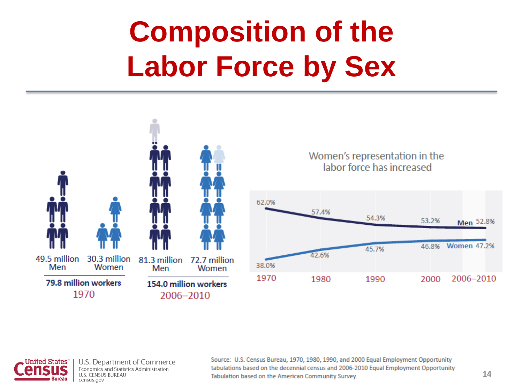# **Composition of the Labor Force by Sex**





U.S. Department of Commerce Economics and Statistics Administration **U.S. CENSUS BUREAU** census.gov

Source: U.S. Census Bureau, 1970, 1980, 1990, and 2000 Equal Employment Opportunity tabulations based on the decennial census and 2006-2010 Equal Employment Opportunity Tabulation based on the American Community Survey.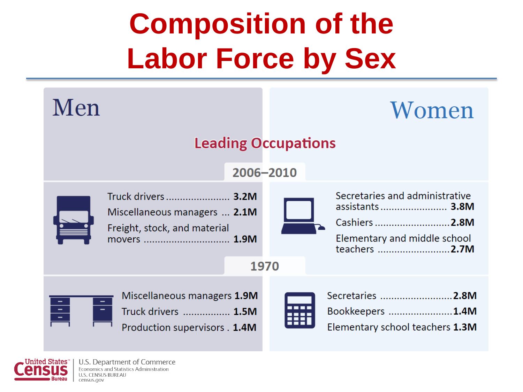# **Composition of the Labor Force by Sex**

| Men                                                                                                 | Women                                                                                                                       |  |  |  |  |  |  |
|-----------------------------------------------------------------------------------------------------|-----------------------------------------------------------------------------------------------------------------------------|--|--|--|--|--|--|
|                                                                                                     | <b>Leading Occupations</b><br>2006-2010                                                                                     |  |  |  |  |  |  |
| Truck drivers  3.2M<br>Miscellaneous managers  2.1M<br>Freight, stock, and material<br>movers  1.9M | Secretaries and administrative<br>assistants 3.8M<br>Cashiers 2.8M<br>Elementary and middle school<br>teachers 2.7M<br>1970 |  |  |  |  |  |  |
| Miscellaneous managers 1.9M<br>E<br>Truck drivers  1.5M<br>Production supervisors . 1.4M            | Secretaries 2.8M<br>Bookkeepers 1.4M<br>Elementary school teachers 1.3M                                                     |  |  |  |  |  |  |

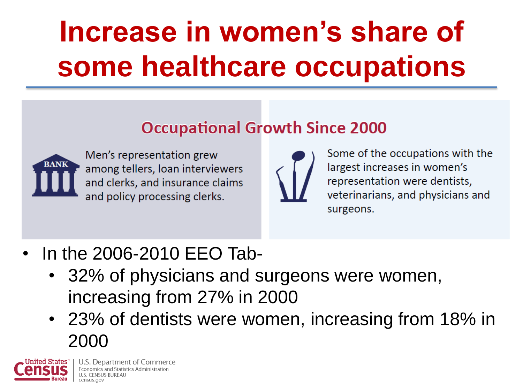# **Increase in women's share of some healthcare occupations**

#### **Occupational Growth Since 2000**



Men's representation grew among tellers, loan interviewers and clerks, and insurance claims and policy processing clerks.



Some of the occupations with the largest increases in women's representation were dentists, veterinarians, and physicians and surgeons.

- In the 2006-2010 EEO Tab-
	- 32% of physicians and surgeons were women, increasing from 27% in 2000
	- 23% of dentists were women, increasing from 18% in 2000



U.S. Department of Commerce Economics and Statistics Administration census.gov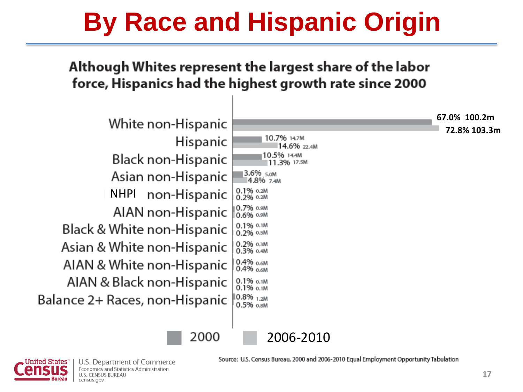#### **By Race and Hispanic Origin**

#### Although Whites represent the largest share of the labor force, Hispanics had the highest growth rate since 2000





U.S. Department of Commerce Economics and Statistics Administration **U.S. CENSUS BUREAU** census.gov

Source: U.S. Census Bureau, 2000 and 2006-2010 Equal Employment Opportunity Tabulation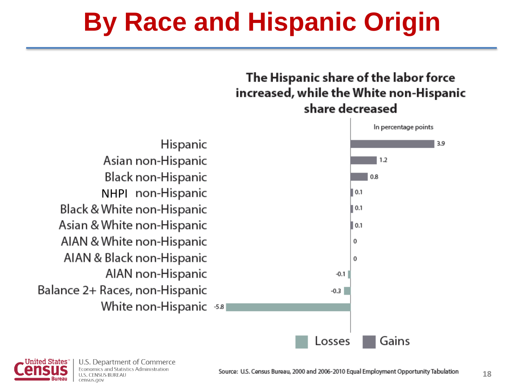#### **By Race and Hispanic Origin**

#### The Hispanic share of the labor force increased, while the White non-Hispanic share decreased



Hispanic Asian non-Hispanic Black non-Hispanic NHPI non-Hispanic Black & White non-Hispanic Asian & White non-Hispanic AIAN & White non-Hispanic AIAN & Black non-Hispanic AIAN non-Hispanic Balance 2+ Races, non-Hispanic White non-Hispanic ss



U.S. Department of Commerce Economics and Statistics Administration **U.S. CENSUS BUREAU** census.gov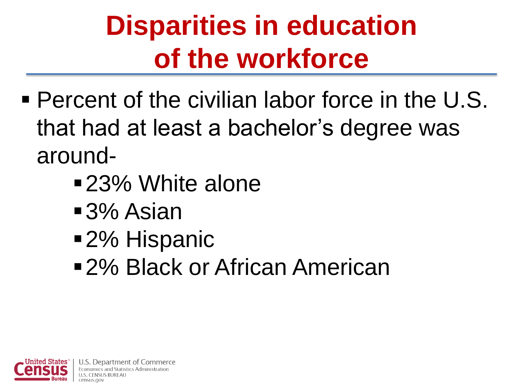## **Disparities in education of the workforce**

- Percent of the civilian labor force in the U.S. that had at least a bachelor's degree was around-
	- 23% White alone
	- ■3% Asian
	- 2% Hispanic
	- ■2% Black or African American

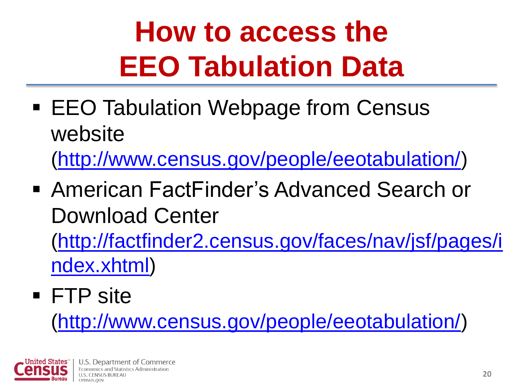# **How to access the EEO Tabulation Data**

■ EEO Tabulation Webpage from Census website

([http://www.census.gov/people/eeotabulation/\)](http://www.census.gov/people/eeotabulation/)

■ American FactFinder's Advanced Search or Download Center

([http://factfinder2.census.gov/faces/nav/jsf/pages/i](http://factfinder2.census.gov/faces/nav/jsf/pages/index.xhtml) [ndex.xhtml\)](http://factfinder2.census.gov/faces/nav/jsf/pages/index.xhtml)

#### FTP site

([http://www.census.gov/people/eeotabulation/\)](http://www.census.gov/people/eeotabulation/)